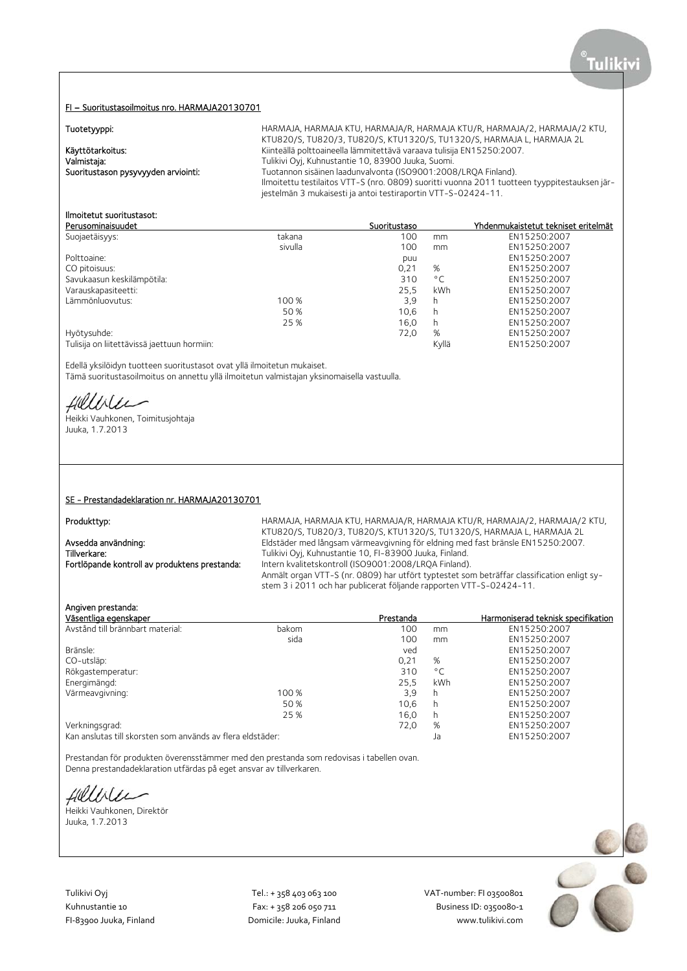### FI – Suoritustasoilmoitus nro. HARMAJA20130701

## Tuetetunni

| <b>TUOLOGYYPPI.</b>                 |                                                                                              |
|-------------------------------------|----------------------------------------------------------------------------------------------|
|                                     | KTU820/S, TU820/3, TU820/S, KTU1320/S, TU1320/S, HARMAJA L, HARMAJA 2L                       |
| Käyttötarkoitus:                    | Kiinteällä polttoaineella lämmitettävä varaava tulisija EN15250:2007.                        |
| Valmistaja:                         | Tulikivi Oyi, Kuhnustantie 10, 83900 Juuka, Suomi.                                           |
| Suoritustason pysyvyyden arviointi: | Tuotannon sisäinen laadunvalvonta (ISO9001:2008/LROA Finland).                               |
|                                     | Ilmoitettu testilaitos VTT-S (nro. 0809) suoritti vuonna 2011 tuotteen tyyppitestauksen jär- |
|                                     | jestelmän 3 mukaisesti ja antoi testiraportin VTT-S-02424-11.                                |
|                                     |                                                                                              |

# Ilmoitetut suoritustasot:

| Perusominaisuudet                           |         | Suoritustaso |              | Yhdenmukaistetut tekniset eritelmät |
|---------------------------------------------|---------|--------------|--------------|-------------------------------------|
| Suojaetäisyys:                              | takana  | 100          | mm           | EN15250:2007                        |
|                                             | sivulla | 100          | mm           | EN15250:2007                        |
| Polttoaine:                                 |         | puu          |              | EN15250:2007                        |
| CO pitoisuus:                               |         | 0.21         | %            | EN15250:2007                        |
| Savukaasun keskilämpötila:                  |         | 310          | $^{\circ}$ C | EN15250:2007                        |
| Varauskapasiteetti:                         |         | 25.5         | kWh          | EN15250:2007                        |
| Lämmönluovutus:                             | 100 %   | 3,9          | h            | EN15250:2007                        |
|                                             | 50 %    | 10.6         | h            | EN15250:2007                        |
|                                             | 25 %    | 16.0         | h            | EN15250:2007                        |
| Hyötysuhde:                                 |         | 72.0         | %            | EN15250:2007                        |
| Tulisija on liitettävissä jaettuun hormiin: |         |              | Kvllä        | EN15250:2007                        |

Edellä yksilöidyn tuotteen suoritustasot ovat yllä ilmoitetun mukaiset.

Tämä suoritustasoilmoitus on annettu yllä ilmoitetun valmistajan yksinomaisella vastuulla.

Hillble

Heikki Vauhkonen, Toimitusjohtaja Juuka, 1.7.2013

## SE - Prestandadeklaration nr. HARMAJA20130701

Produkttyp: entityp: entityp: HARMAJA, HARMAJA, HARMAJA, HARMAJA, HARMAJA, HARMAJA, HARMAJA, 2 KTU, KTU820/S, TU820/3, TU820/S, KTU1320/S, TU1320/S, HARMAJA L, HARMAJA 2L Avsedda användning: Eldstäder med långsam värmeavgivning för eldning med fast bränsle EN15250:2007.<br>Tillverkare: Tulikivi Oyj, Kuhnustantie 10, FI-83900 Juuka, Finland. Tillverkare: Tulikivi Oyj, Kuhnustantie 10, FI-83900 Juuka, Finland.<br>Tortlöpande kontroll av produktens prestanda: Intern kvalitetskontroll (ISO9001:2008/LRQA Finland) Intern kvalitetskontroll (ISO9001:2008/LRQA Finland). Anmält organ VTT-S (nr. 0809) har utfört typtestet som beträffar classification enligt system 3 i 2011 och har publicerat följande rapporten VTT-S-02424-11.

Tuotetyyppi: HARMAJA, HARMAJA KTU, HARMAJA/R, HARMAJA KTU/R, HARMAJA/2, HARMAJA/2 KTU,

# Angiven prestanda:

| Väsentliga egenskaper                                      |       | Prestanda |              | Harmoniserad teknisk specifikation |
|------------------------------------------------------------|-------|-----------|--------------|------------------------------------|
| Avstånd till brännbart material:                           | bakom | 100       | mm           | EN15250:2007                       |
|                                                            | sida  | 100       | mm           | EN15250:2007                       |
| Bränsle:                                                   |       | ved       |              | EN15250:2007                       |
| CO-utsläp:                                                 |       | 0,21      | %            | EN15250:2007                       |
| Rökgastemperatur:                                          |       | 310       | $^{\circ}$ C | EN15250:2007                       |
| Energimängd:                                               |       | 25.5      | <b>kWh</b>   | EN15250:2007                       |
| Värmeavgivning:                                            | 100 % | 3,9       | h            | EN15250:2007                       |
|                                                            | 50 %  | 10,6      | h            | EN15250:2007                       |
|                                                            | 25 %  | 16.0      | h            | EN15250:2007                       |
| Verkningsgrad:                                             |       | 72,0      | %            | EN15250:2007                       |
| Kan anslutas till skorsten som används av flera eldstäder: |       |           | Ja           | EN15250:2007                       |

Prestandan för produkten överensstämmer med den prestanda som redovisas i tabellen ovan. Denna prestandadeklaration utfärdas på eget ansvar av tillverkaren.

fielliter

Heikki Vauhkonen, Direktör Juuka, 1.7.2013

Tulikivi Oyj Tel.: + 358 403 063 100 VAT‐number: FI 03500801

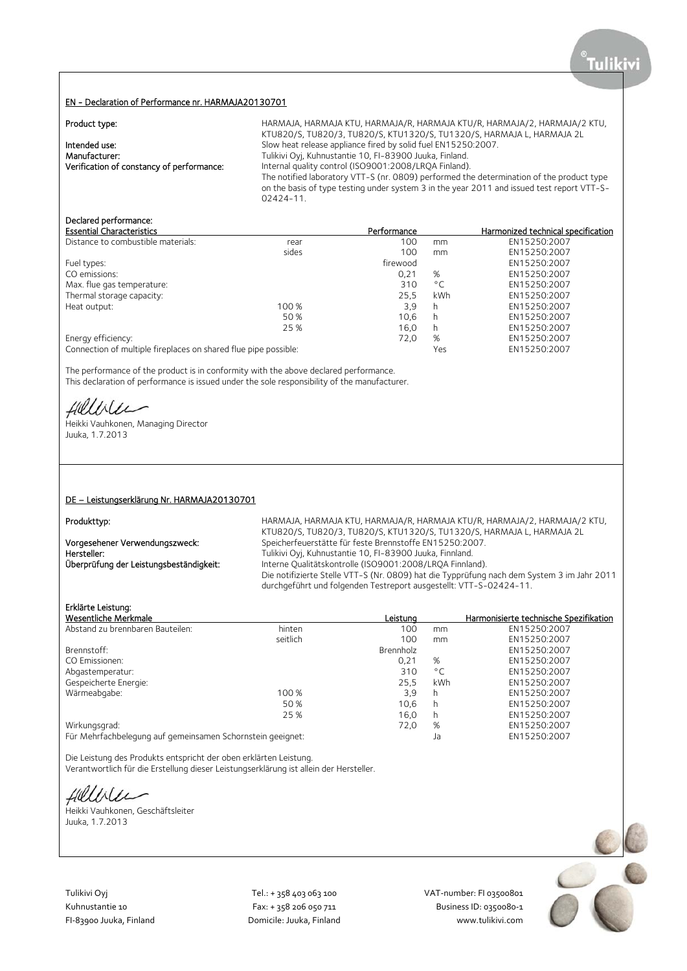## EN - Declaration of Performance nr. HARMAJA20130701

| Product type:                             | HARMAJA, HARMAJA KTU, HARMAJA/R, HARMAJA KTU/R, HARMAJA/2, HARMAJA/2 KTU,                  |
|-------------------------------------------|--------------------------------------------------------------------------------------------|
|                                           | KTU820/S, TU820/3, TU820/S, KTU1320/S, TU1320/S, HARMAJA L, HARMAJA 2L                     |
| Intended use:                             | Slow heat release appliance fired by solid fuel EN15250:2007.                              |
| Manufacturer:                             | Tulikivi Oyj, Kuhnustantie 10, FI-83900 Juuka, Finland.                                    |
| Verification of constancy of performance: | Internal quality control (ISO9001:2008/LRQA Finland).                                      |
|                                           | The notified laboratory VTT-S (nr. 0809) performed the determination of the product type   |
|                                           | on the basis of type testing under system 3 in the year 2011 and issued test report VTT-S- |
|                                           | $02424 - 11$                                                                               |

# Declared performance:

| <b>Essential Characteristics</b>                                |       | Performance |              | Harmonized technical specification |
|-----------------------------------------------------------------|-------|-------------|--------------|------------------------------------|
| Distance to combustible materials:                              | rear  | 100         | mm           | EN15250:2007                       |
|                                                                 | sides | 100         | mm           | EN15250:2007                       |
| Fuel types:                                                     |       | firewood    |              | EN15250:2007                       |
| CO emissions:                                                   |       | 0.21        | %            | EN15250:2007                       |
| Max. flue gas temperature:                                      |       | 310         | $^{\circ}$ C | EN15250:2007                       |
| Thermal storage capacity:                                       |       | 25.5        | <b>kWh</b>   | EN15250:2007                       |
| Heat output:                                                    | 100 % | 3,9         | h            | EN15250:2007                       |
|                                                                 | 50 %  | 10,6        | h            | EN15250:2007                       |
|                                                                 | 25 %  | 16.0        | h            | EN15250:2007                       |
| Energy efficiency:                                              |       | 72,0        | %            | EN15250:2007                       |
| Connection of multiple fireplaces on shared flue pipe possible: |       |             | Yes          | EN15250:2007                       |

The performance of the product is in conformity with the above declared performance. This declaration of performance is issued under the sole responsibility of the manufacturer.

Hillvier

Heikki Vauhkonen, Managing Director Juuka, 1.7.2013

## DE – Leistungserklärung Nr. HARMAJA20130701

Produkttyp: entitled that the HARMAJA, HARMAJA KTU, HARMAJA/R, HARMAJA KTU/R, HARMAJA/2, HARMAJA/2 KTU, KTU820/S, TU820/3, TU820/S, KTU1320/S, TU1320/S, HARMAJA L, HARMAJA 2L Vorgesehener Verwendungszweck: Speicherfeuerstätte für feste Brennstoffe EN15250:2007.<br>Tulikivi Oyj, Kuhnustantie 10, FI-83900 Juuka, Finnland. Hersteller: Tulikivi Oyj, Kuhnustantie 10, FI-83900 Juuka, Finnland.<br>
Überprüfung der Leistungsbeständigkeit: Interne Qualitätskontrolle (ISO9001:2008/LRQA Finnlar Interne Qualitätskontrolle (ISO9001:2008/LRQA Finnland). Die notifizierte Stelle VTT-S (Nr. 0809) hat die Typprüfung nach dem System 3 im Jahr 2011 durchgeführt und folgenden Testreport ausgestellt: VTT-S-02424-11.

# Erklärte Leistung:

| Wesentliche Merkmale                                       |          | Leistuna  |        | Harmonisierte technische Spezifikation |
|------------------------------------------------------------|----------|-----------|--------|----------------------------------------|
| Abstand zu brennbaren Bauteilen:                           | hinten   | 100       | mm     | EN15250:2007                           |
|                                                            | seitlich | 100       | mm     | EN15250:2007                           |
| Brennstoff:                                                |          | Brennholz |        | EN15250:2007                           |
| CO Emissionen:                                             |          | 0.21      | %      | EN15250:2007                           |
| Abgastemperatur:                                           |          | 310       | °C     | EN15250:2007                           |
| Gespeicherte Energie:                                      |          | 25.5      | kWh    | EN15250:2007                           |
| Wärmeabgabe:                                               | 100 %    | 3,9       | h      | EN15250:2007                           |
|                                                            | 50 %     | 10.6      | h      | EN15250:2007                           |
|                                                            | 25 %     | 16.0      | h      | EN15250:2007                           |
| Wirkungsgrad:                                              |          | 72,0      | %      | EN15250:2007                           |
| Für Mehrfachhologung auf gemeingamen Scharnstein gegignet: |          |           | $\sim$ | TMETED.2007                            |

Für Mehrfachbelegung auf gemeinsamen Schornstein geeignet: Ja EN15250:2007

Die Leistung des Produkts entspricht der oben erklärten Leistung. Verantwortlich für die Erstellung dieser Leistungserklärung ist allein der Hersteller.

fieldster

Heikki Vauhkonen, Geschäftsleiter Juuka, 1.7.2013

Tulikivi Oyj Tel.: + 358 403 063 100 VAT‐number: FI 03500801

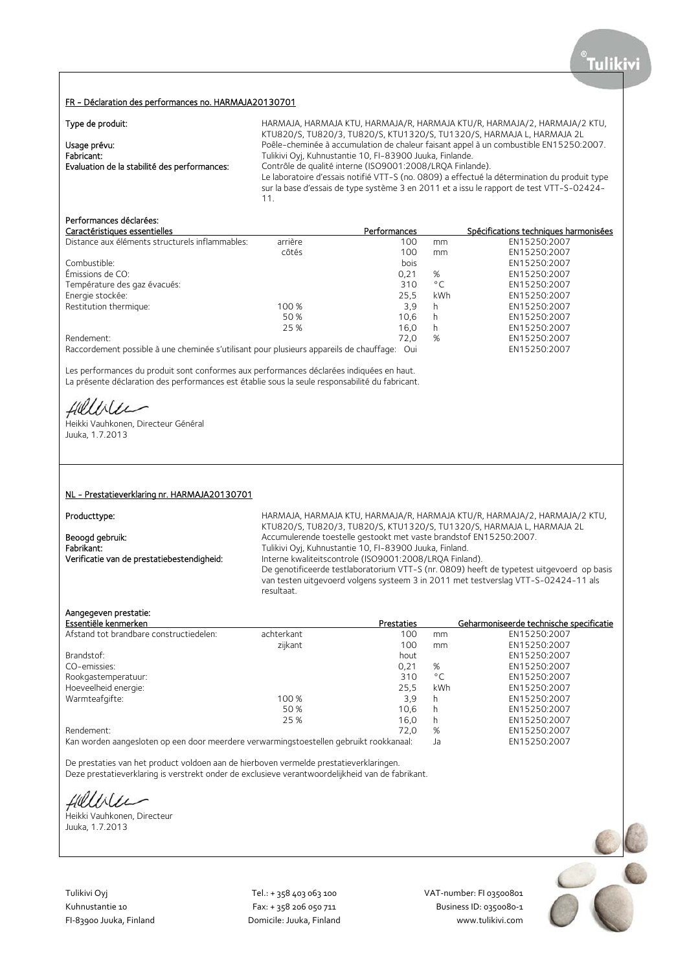## FR - Déclaration des performances no. HARMAJA20130701

| Type de produit:                             | HARMAJA, HARMAJA KTU, HARMAJA/R, HARMAJA KTU/R, HARMAJA/2, HARMAJA/2 KTU,                                                                                                                |
|----------------------------------------------|------------------------------------------------------------------------------------------------------------------------------------------------------------------------------------------|
|                                              | KTU820/S, TU820/3, TU820/S, KTU1320/S, TU1320/S, HARMAJA L, HARMAJA 2L                                                                                                                   |
| Usage prévu:                                 | Poêle-cheminée à accumulation de chaleur faisant appel à un combustible EN15250:2007.                                                                                                    |
| Fabricant:                                   | Tulikivi Oyj, Kuhnustantie 10, FI-83900 Juuka, Finlande.                                                                                                                                 |
| Evaluation de la stabilité des performances: | Contrôle de qualité interne (ISO9001:2008/LROA Finlande).                                                                                                                                |
|                                              | Le laboratoire d'essais notifié VTT-S (no. 0809) a effectué la détermination du produit type<br>sur la base d'essais de type système 3 en 2011 et a issu le rapport de test VTT-S-02424- |
|                                              |                                                                                                                                                                                          |

# Performances déclarées:

| Caractéristiques essentielles                                                                                  |         | Performances |              | Spécifications techniques harmonisées |
|----------------------------------------------------------------------------------------------------------------|---------|--------------|--------------|---------------------------------------|
| Distance aux éléments structurels inflammables:                                                                | arrière | 100          | mm           | EN15250:2007                          |
|                                                                                                                | côtés   | 100          | mm           | EN15250:2007                          |
| Combustible:                                                                                                   |         | bois         |              | EN15250:2007                          |
| Émissions de CO:                                                                                               |         | 0,21         | %            | EN15250:2007                          |
| Température des gaz évacués:                                                                                   |         | 310          | $^{\circ}$ C | EN15250:2007                          |
| Energie stockée:                                                                                               |         | 25.5         | kWh          | EN15250:2007                          |
| Restitution thermique:                                                                                         | 100 %   | 3,9          | h            | EN15250:2007                          |
|                                                                                                                | 50 %    | 10.6         | h            | EN15250:2007                          |
|                                                                                                                | 25 %    | 16.0         | h            | EN15250:2007                          |
| Rendement:                                                                                                     |         | 72.0         | %            | EN15250:2007                          |
| . De energialement en exilidade incorporational est different en madridisment energiale de la lamificación del |         |              |              | F M 1 F 2 F 0.2007                    |

Raccordement possible à une cheminée s'utilisant pour plusieurs appareils de chauffage: Oui EN15250:2007

Les performances du produit sont conformes aux performances déclarées indiquées en haut. La présente déclaration des performances est établie sous la seule responsabilité du fabricant.

Hillvier

Heikki Vauhkonen, Directeur Général Juuka, 1.7.2013

## NL - Prestatieverklaring nr. HARMAJA20130701

Producttype: hARMAJA, HARMAJA, HARMAJA KTU, HARMAJA/R, HARMAJA KTU/R, HARMAJA/2, HARMAJA/2 KTU, KTU820/S, TU820/3, TU820/S, KTU1320/S, TU1320/S, HARMAJA L, HARMAJA 2L Beoogd gebruik: <br>Accumulerende toestelle gestookt met vaste brandstof EN15250:2007.<br>Tulikivi Ovi. Kuhnustantie 10. FI-83900 Juuka. Finland. Tulikivi Oyj, Kuhnustantie 10, FI-83900 Juuka, Finland. Verificatie van de prestatiebestendigheid: Interne kwaliteitscontrole (ISO9001:2008/LRQA Finland). De genotificeerde testlaboratorium VTT-S (nr. 0809) heeft de typetest uitgevoerd op basis van testen uitgevoerd volgens systeem 3 in 2011 met testverslag VTT-S-02424-11 als resultaat.

# Aangegeven prestatie:

| Essentiële kenmerken                    |            | Prestaties                             |              | Geharmoniseerde technische specificatie |
|-----------------------------------------|------------|----------------------------------------|--------------|-----------------------------------------|
| Afstand tot brandbare constructiedelen: | achterkant | 100                                    | mm           | EN15250:2007                            |
|                                         | zijkant    | 100                                    | mm           | EN15250:2007                            |
| Brandstof:                              |            | hout                                   |              | EN15250:2007                            |
| CO-emissies:                            |            | 0,21                                   | %            | EN15250:2007                            |
| Rookgastemperatuur:                     |            | 310                                    | $^{\circ}$ C | EN15250:2007                            |
| Hoeveelheid energie:                    |            | 25.5                                   | kWh          | EN15250:2007                            |
| Warmteafgifte:                          | 100 %      | 3,9                                    | h            | EN15250:2007                            |
|                                         | 50 %       | 10.6                                   | h            | EN15250:2007                            |
|                                         | 25 %       | 16.0                                   | h            | EN15250:2007                            |
| Rendement:                              |            | 72.0                                   | %            | EN15250:2007                            |
| $\mathbf{1}$                            |            | the state of the state of the state of |              | $-111 - 220 - 220 - 7$                  |

Kan worden aangesloten op een door meerdere verwarmingstoestellen gebruikt rookkanaal: Ja EN15250:2007

De prestaties van het product voldoen aan de hierboven vermelde prestatieverklaringen.

Deze prestatieverklaring is verstrekt onder de exclusieve verantwoordelijkheid van de fabrikant.

Hellile

Heikki Vauhkonen, Directeur Juuka, 1.7.2013

Tulikivi Oyj Tel.: + 358 403 063 100 VAT‐number: FI 03500801

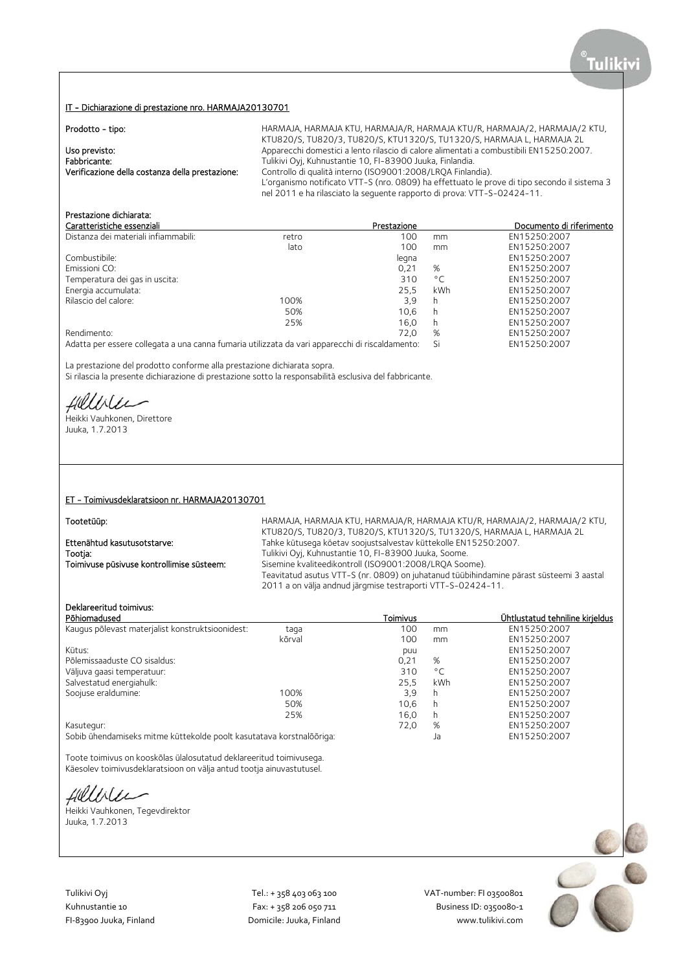## IT - Dichiarazione di prestazione nro. HARMAJA20130701

| Prodotto - tipo:                                | HARMAJA, HARMAJA KTU, HARMAJA/R, HARMAJA KTU/R, HARMAJA/2, HARMAJA/2 KTU,                    |
|-------------------------------------------------|----------------------------------------------------------------------------------------------|
|                                                 | KTU820/S, TU820/3, TU820/S, KTU1320/S, TU1320/S, HARMAJA L, HARMAJA 2L                       |
| Uso previsto:                                   | Apparecchi domestici a lento rilascio di calore alimentati a combustibili EN15250:2007.      |
| Fabbricante:                                    | Tulikivi Oyj, Kuhnustantie 10, FI-83900 Juuka, Finlandia.                                    |
| Verificazione della costanza della prestazione: | Controllo di qualità interno (ISO9001:2008/LROA Finlandia).                                  |
|                                                 | L'organismo notificato VTT-S (nro. 0809) ha effettuato le prove di tipo secondo il sistema 3 |
|                                                 | nel 2011 e ha rilasciato la seguente rapporto di prova: VTT-S-02424-11.                      |

# Prestazione dichiarata:

| Caratteristiche essenziali           |       | Prestazione |              | Documento di riferimento |
|--------------------------------------|-------|-------------|--------------|--------------------------|
| Distanza dei materiali infiammabili: | retro | 100         | mm           | EN15250:2007             |
|                                      | lato  | 100         | mm           | EN15250:2007             |
| Combustibile:                        |       | legna       |              | EN15250:2007             |
| Emissioni CO:                        |       | 0.21        | %            | EN15250:2007             |
| Temperatura dei gas in uscita:       |       | 310         | $^{\circ}$ C | EN15250:2007             |
| Energia accumulata:                  |       | 25.5        | kWh          | EN15250:2007             |
| Rilascio del calore:                 | 100%  | 3.9         | h            | EN15250:2007             |
|                                      | 50%   | 10.6        | h            | EN15250:2007             |
|                                      | 25%   | 16.0        | h            | EN15250:2007             |
| Rendimento:                          |       | 72.0        | %            | EN15250:2007             |

Adatta per essere collegata a una canna fumaria utilizzata da vari apparecchi di riscaldamento: Si EN15250:2007

La prestazione del prodotto conforme alla prestazione dichiarata sopra.

Si rilascia la presente dichiarazione di prestazione sotto la responsabilità esclusiva del fabbricante.

Hillble

Heikki Vauhkonen, Direttore Juuka, 1.7.2013

### ET - Toimivusdeklaratsioon nr. HARMAJA20130701

Tootetüüp: Tootetüüp: Entimated Tarmaya, HARMAJA, HARMAJA/R, HARMAJA/R, HARMAJA/R, HARMAJA/2, HARMAJA/2 KTU, KTU820/S, TU820/3, TU820/S, KTU1320/S, TU1320/S, HARMAJA L, HARMAJA 2L Ettenähtud kasutusotstarve: Tahke kütusega köetav soojustsalvestav küttekolle EN15250:2007.<br>Tootja: Tulikivi Oyj, Kuhnustantie 10, FI-83900 Juuka, Soome. Tootja:<br>
Tulikivi Oyj, Kuhnustantie 10, FI-83900 Juuka, Soome.<br>
Toimivuse püsivuse kontrollimise süsteem: Sisemine kvaliteedikontroll (ISO9001:2008/LRQA Soome. Sisemine kvaliteedikontroll (ISO9001:2008/LRQA Soome). Teavitatud asutus VTT-S (nr. 0809) on juhatanud tüübihindamine pärast süsteemi 3 aastal 2011 a on välja andnud järgmise testraporti VTT-S-02424-11.

# Deklareeritud toimivus:

| Põhiomadused                                     |                                                                      | Toimivus |              | Ühtlustatud tehniline kirieldus |
|--------------------------------------------------|----------------------------------------------------------------------|----------|--------------|---------------------------------|
| Kaugus põlevast materjalist konstruktsioonidest: | taga                                                                 | 100      | mm           | EN15250:2007                    |
|                                                  | kõrval                                                               | 100      | mm           | EN15250:2007                    |
| Kütus:                                           |                                                                      | puu      |              | EN15250:2007                    |
| Põlemissaaduste CO sisaldus:                     |                                                                      | 0.21     | %            | EN15250:2007                    |
| Väljuva gaasi temperatuur:                       |                                                                      | 310      | $^{\circ}$ C | EN15250:2007                    |
| Salvestatud energiahulk:                         |                                                                      | 25.5     | <b>kWh</b>   | EN15250:2007                    |
| Soojuse eraldumine:                              | 100%                                                                 | 3,9      | h            | EN15250:2007                    |
|                                                  | 50%                                                                  | 10.6     | h            | EN15250:2007                    |
|                                                  | 25%                                                                  | 16.0     | h            | EN15250:2007                    |
| Kasutegur:                                       |                                                                      | 72.0     | %            | EN15250:2007                    |
|                                                  | Sobib ühendamiseks mitme küttekolde poolt kasutatava korstnalõõriga: |          | Ja           | EN15250:2007                    |

Toote toimivus on kooskõlas ülalosutatud deklareeritud toimivusega. Käesolev toimivusdeklaratsioon on välja antud tootja ainuvastutusel.

fieldster

Heikki Vauhkonen, Tegevdirektor Juuka, 1.7.2013



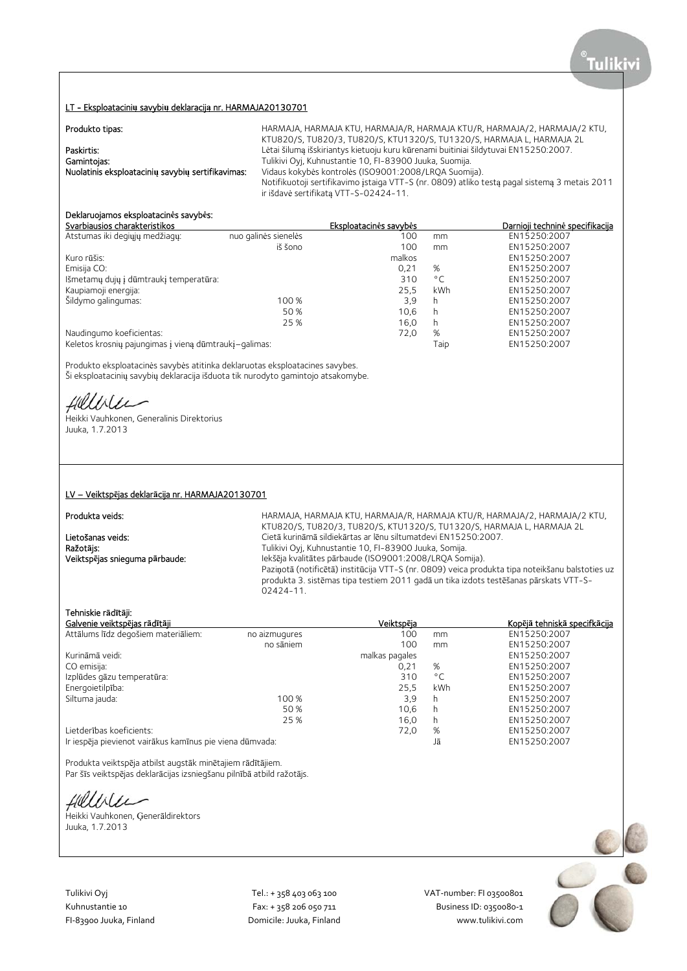## LT - Eksploatacini**ų** savybi**ų** deklaracij**ą** nr. HARMAJA20130701

| Produkto tipas:                                   | HARMAJA, HARMAJA KTU, HARMAJA/R, HARMAJA KTU/R, HARMAJA/2, HARMAJA/2 KTU,                     |
|---------------------------------------------------|-----------------------------------------------------------------------------------------------|
|                                                   | KTU820/S, TU820/3, TU820/S, KTU1320/S, TU1320/S, HARMAJA L, HARMAJA 2L                        |
| Paskirtis:                                        | Lėtai šiluma išskiriantys kietuoju kuru kūrenami buitiniai šildytuvai EN15250:2007.           |
| Gamintojas:                                       | Tulikivi Oyj, Kuhnustantie 10, FI-83900 Juuka, Suomija.                                       |
| Nuolatinis eksploataciniu savybiu sertifikavimas: | Vidaus kokybės kontrolės (ISO9001:2008/LROA Suomija).                                         |
|                                                   | Notifikuotoji sertifikavimo įstaiga VTT-S (nr. 0809) atliko testą pagal sistemą 3 metais 2011 |
|                                                   | ir išdavė sertifikata VTT-S-02424-11.                                                         |

# Deklaruojamos eksploatacin**ė**s savyb**ė**s:

|                                                       | Eksploatacinės savybės |              | Darnioji techninė specifikacija |
|-------------------------------------------------------|------------------------|--------------|---------------------------------|
| nuo galinės sienelės                                  | 100                    | mm           | EN15250:2007                    |
| iš šono                                               | 100                    | mm           | EN15250:2007                    |
|                                                       | malkos                 |              | EN15250:2007                    |
|                                                       | 0.21                   | %            | EN15250:2007                    |
|                                                       | 310                    | $^{\circ}$ C | EN15250:2007                    |
|                                                       | 25.5                   | kWh          | EN15250:2007                    |
| 100 %                                                 | 3.9                    | h            | EN15250:2007                    |
| 50 %                                                  | 10.6                   | h            | EN15250:2007                    |
| 25 %                                                  | 16.0                   | h            | EN15250:2007                    |
|                                                       | 72,0                   | %            | EN15250:2007                    |
| Keletos krosnių pajungimas į vieną dūmtraukį-galimas: |                        | Taip         | EN15250:2007                    |
|                                                       |                        |              |                                 |

Produkto eksploatacinės savybės atitinka deklaruotas eksploatacines savybes. Ši eksploatacinių savybių deklaracija išduota tik nurodyto gamintojo atsakomybe.

Hilliler

Heikki Vauhkonen, Generalinis Direktorius Juuka, 1.7.2013

### LV – Veiktsp**ē**jas deklar**ā**cija nr. HARMAJA20130701

# Produkta veids:

HARMAJA, HARMAJA KTU, HARMAJA/R, HARMAJA KTU/R, HARMAJA/2, HARMAJA/2 KTU, KTU820/S, TU820/3, TU820/S, KTU1320/S, TU1320/S, HARMAJA L, HARMAJA 2L Lietošanas veids: Cietā kurināmā sildiekārtas ar lēnu siltumatdevi EN15250:2007.<br>
Ražotājs: Cietā kurināmā sildiekārtas ar lēnu siltumatdevi EN15250:2007. Ražot**ā**js: Tulikivi Oyj, Kuhnustantie 10, FI-83900 Juuka, Somija. Iekšēja kvalitātes pārbaude (ISO9001:2008/LRQA Somija). Paziņotā (notificētā) institūcija VTT-S (nr. 0809) veica produkta tipa noteikšanu balstoties uz produkta 3. sistēmas tipa testiem 2011 gadā un tika izdots testēšanas pārskats VTT-S- $02424 - 11$ 

## Tehniskie r**ā**d**ī**t**ā**ji:

| Galvenie veiktspējas rādītāji                            |               | Veiktspēja     |              | Kopējā tehniskā specifkācija |
|----------------------------------------------------------|---------------|----------------|--------------|------------------------------|
| Attālums līdz degošiem materiāliem:                      | no aizmugures | 100            | mm           | EN15250:2007                 |
|                                                          | no sāniem     | 100            | mm           | EN15250:2007                 |
| Kurināmā veidi:                                          |               | malkas pagales |              | EN15250:2007                 |
| CO emisija:                                              |               | 0.21           | %            | EN15250:2007                 |
| Izplūdes gāzu temperatūra:                               |               | 310            | $^{\circ}$ C | EN15250:2007                 |
| Energoietilpība:                                         |               | 25.5           | kWh          | EN15250:2007                 |
| Siltuma jauda:                                           | 100 %         | 3,9            | h            | EN15250:2007                 |
|                                                          | 50 %          | 10.6           | h            | EN15250:2007                 |
|                                                          | 25 %          | 16.0           | h            | EN15250:2007                 |
| Lietderības koeficients:                                 |               | 72,0           | %            | EN15250:2007                 |
| Ir iespēja pievienot vairākus kamīnus pie viena dūmvada: |               |                | Jā           | EN15250:2007                 |

Produkta veiktspēja atbilst augstāk minētajiem rādītājiem. Par šīs veiktspējas deklarācijas izsniegšanu pilnībā atbild ražotājs.

Hillble

Heikki Vauhkonen, Ģenerāldirektors Juuka, 1.7.2013

Tulikivi Oyj Tel.: + 358 403 063 100 VAT‐number: FI 03500801

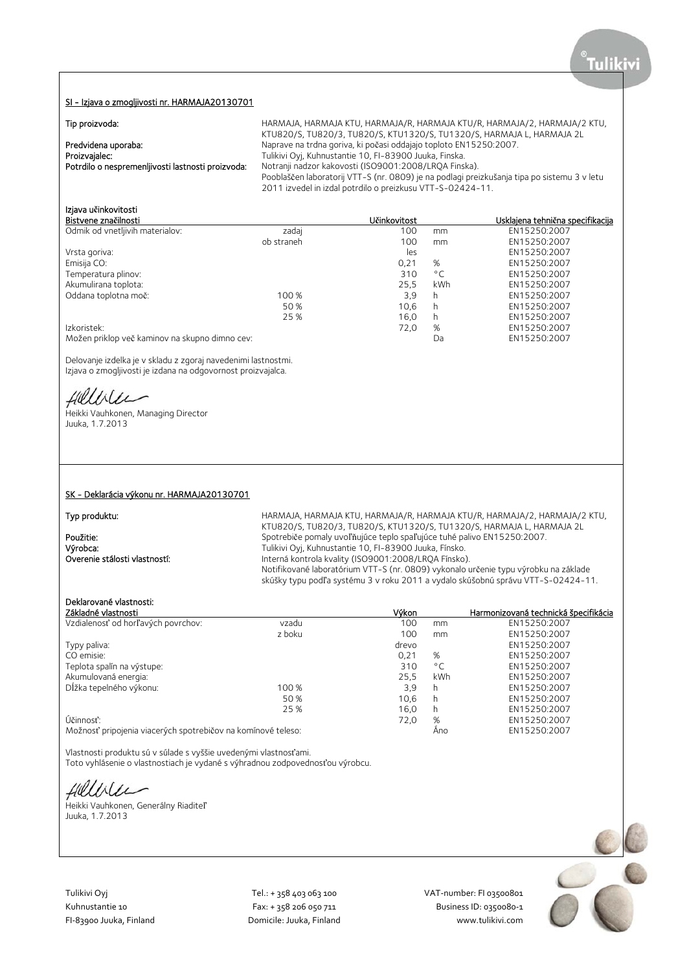### SI - Izjava o zmogljivosti nr. HARMAJA20130701

| Tip proizvoda:                                                                            | HARMAJA, HARMAJA KTU, HARMAJA/R, HARMAJA KTU/R, HARMAJA/2, HARMAJA/2 KTU,<br>KTU820/S, TU820/3, TU820/S, KTU1320/S, TU1320/S, HARMAJA L, HARMAJA 2L                                                                                                                                                                                               |
|-------------------------------------------------------------------------------------------|---------------------------------------------------------------------------------------------------------------------------------------------------------------------------------------------------------------------------------------------------------------------------------------------------------------------------------------------------|
| Predvidena uporaba:<br>Proizvajalec:<br>Potrdilo o nespremenljivosti lastnosti proizvoda: | Naprave na trdna goriva, ki počasi oddajajo toploto EN15250:2007.<br>Tulikivi Oyj, Kuhnustantie 10, FI-83900 Juuka, Finska.<br>Notranji nadzor kakovosti (ISO9001:2008/LRQA Finska).<br>Pooblaščen laboratorij VTT-S (nr. 0809) je na podlagi preizkušanja tipa po sistemu 3 v letu<br>2011 izvedel in izdal potrdilo o preizkusu VTT-S-02424-11. |

# Izjava u**č**inkovitosti

| Bistvene značilnosti                           |            | Učinkovitost |              | Usklajena tehnična specifikacija |
|------------------------------------------------|------------|--------------|--------------|----------------------------------|
| Odmik od vnetljivih materialov:                | zadaj      | 100          | mm           | EN15250:2007                     |
|                                                | ob straneh | 100          | mm           | EN15250:2007                     |
| Vrsta goriva:                                  |            | les          |              | EN15250:2007                     |
| Emisija CO:                                    |            | 0,21         | %            | EN15250:2007                     |
| Temperatura plinov:                            |            | 310          | $^{\circ}$ C | EN15250:2007                     |
| Akumulirana toplota:                           |            | 25.5         | kWh          | EN15250:2007                     |
| Oddana toplotna moč:                           | 100 %      | 3,9          | h            | EN15250:2007                     |
|                                                | 50 %       | 10.6         | h            | EN15250:2007                     |
|                                                | 25 %       | 16.0         | h            | EN15250:2007                     |
| Izkoristek:                                    |            | 72,0         | %            | EN15250:2007                     |
| Možen priklop več kaminov na skupno dimno cev: |            |              | Da           | EN15250:2007                     |

Delovanje izdelka je v skladu z zgoraj navedenimi lastnostmi. Izjava o zmogljivosti je izdana na odgovornost proizvajalca.

Hillble

Heikki Vauhkonen, Managing Director Juuka, 1.7.2013

# SK - Deklarácia výkonu nr. HARMAJA20130701

Typ produktu: hARMAJA, HARMAJA, HARMAJA KTU, HARMAJA/R, HARMAJA KTU/R, HARMAJA/2, HARMAJA/2 KTU, KTU820/S, TU820/3, TU820/S, KTU1320/S, TU1320/S, HARMAJA L, HARMAJA 2L **Použitie:** Spotrebiče pomaly uvoľňujúce teplo spaľujúce tuhé palivo EN15250:2007.<br>
Výrobca: Spotrebiče prieklini Ovi, Kuhnustantie 10, Fl-83900 Juuka, Fínsko. Výrobca: Tulikivi Oyj, Kuhnustantie 10, FI-83900 Juuka, Fínsko. Interná kontrola kvality (ISO9001:2008/LRQA Fínsko). Notifikované laboratórium VTT-S (nr. 0809) vykonalo určenie typu výrobku na základe skúšky typu podľa systému 3 v roku 2011 a vydalo skúšobnú správu VTT-S-02424-11.

## Deklarované vlastnosti:

| Základné vlastnosti                                          |        | Výkon |              | Harmonizovaná technická špecifikácia |
|--------------------------------------------------------------|--------|-------|--------------|--------------------------------------|
| Vzdialenosť od horľavých povrchov:                           | vzadu  | 100   | mm           | EN15250:2007                         |
|                                                              | z boku | 100   | mm           | EN15250:2007                         |
| Typy paliva:                                                 |        | drevo |              | EN15250:2007                         |
| CO emisie:                                                   |        | 0,21  | %            | EN15250:2007                         |
| Teplota spalín na výstupe:                                   |        | 310   | $^{\circ}$ C | EN15250:2007                         |
| Akumulovaná energia:                                         |        | 25.5  | kWh          | EN15250:2007                         |
| Dĺžka tepelného výkonu:                                      | 100 %  | 3,9   | h            | EN15250:2007                         |
|                                                              | 50 %   | 10.6  | h            | EN15250:2007                         |
|                                                              | 25 %   | 16.0  | h            | EN15250:2007                         |
| Účinnosť:                                                    |        | 72.0  | %            | EN15250:2007                         |
| Možnosť pripojenia viacerých spotrebičov na komínové teleso: |        |       | Ano          | EN15250:2007                         |

Vlastnosti produktu sú v súlade s vyššie uvedenými vlastnosťami.

Toto vyhlásenie o vlastnostiach je vydané s výhradnou zodpovednosťou výrobcu.

Hilliler

Heikki Vauhkonen, Generálny Riaditeľ Juuka, 1.7.2013

Tulikivi Oyj Tel.: + 358 403 063 100 VAT‐number: FI 03500801